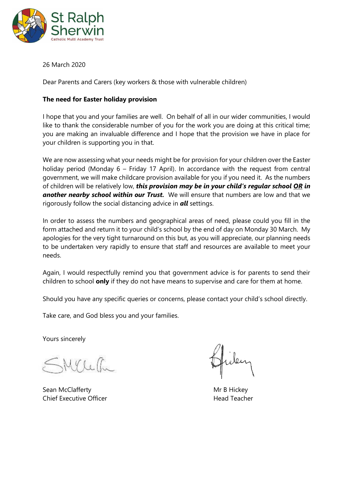

26 March 2020

Dear Parents and Carers (key workers & those with vulnerable children)

## **The need for Easter holiday provision**

I hope that you and your families are well. On behalf of all in our wider communities, I would like to thank the considerable number of you for the work you are doing at this critical time; you are making an invaluable difference and I hope that the provision we have in place for your children is supporting you in that.

We are now assessing what your needs might be for provision for your children over the Easter holiday period (Monday 6 – Friday 17 April). In accordance with the request from central government, we will make childcare provision available for you if you need it. As the numbers of children will be relatively low, *this provision may be in your child's regular school OR in another nearby school within our Trust.* We will ensure that numbers are low and that we rigorously follow the social distancing advice in *all* settings.

In order to assess the numbers and geographical areas of need, please could you fill in the form attached and return it to your child's school by the end of day on Monday 30 March. My apologies for the very tight turnaround on this but, as you will appreciate, our planning needs to be undertaken very rapidly to ensure that staff and resources are available to meet your needs.

Again, I would respectfully remind you that government advice is for parents to send their children to school **only** if they do not have means to supervise and care for them at home.

Should you have any specific queries or concerns, please contact your child's school directly.

Take care, and God bless you and your families.

Yours sincerely

MYLette

Sean McClafferty **Mr B Hickey** Mr B Hickey Chief Executive Officer **Head Teacher** Head Teacher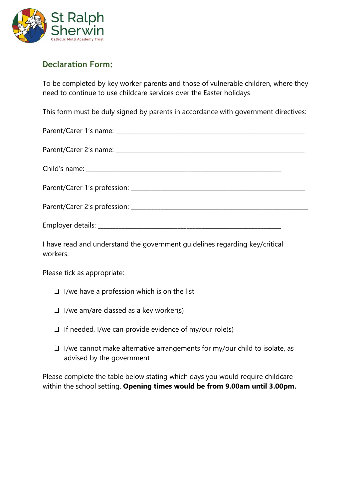

## **Declaration Form:**

To be completed by key worker parents and those of vulnerable children, where they need to continue to use childcare services over the Easter holidays

This form must be duly signed by parents in accordance with government directives:

I have read and understand the government guidelines regarding key/critical workers.

Please tick as appropriate:

- ❏ I/we have a profession which is on the list
- ❏ I/we am/are classed as a key worker(s)
- $\Box$  If needed, I/we can provide evidence of my/our role(s)
- ❏ I/we cannot make alternative arrangements for my/our child to isolate, as advised by the government

Please complete the table below stating which days you would require childcare within the school setting. **Opening times would be from 9.00am until 3.00pm.**